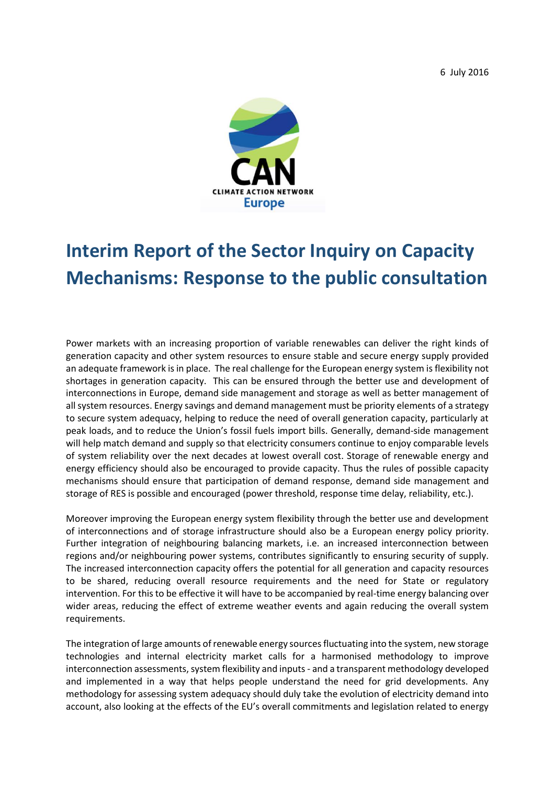6 July 2016



## **Interim Report of the Sector Inquiry on Capacity Mechanisms: Response to the public consultation**

Power markets with an increasing proportion of variable renewables can deliver the right kinds of generation capacity and other system resources to ensure stable and secure energy supply provided an adequate framework is in place. The real challenge for the European energy system is flexibility not shortages in generation capacity. This can be ensured through the better use and development of interconnections in Europe, demand side management and storage as well as better management of all system resources. Energy savings and demand management must be priority elements of a strategy to secure system adequacy, helping to reduce the need of overall generation capacity, particularly at peak loads, and to reduce the Union's fossil fuels import bills. Generally, demand-side management will help match demand and supply so that electricity consumers continue to enjoy comparable levels of system reliability over the next decades at lowest overall cost. Storage of renewable energy and energy efficiency should also be encouraged to provide capacity. Thus the rules of possible capacity mechanisms should ensure that participation of demand response, demand side management and storage of RES is possible and encouraged (power threshold, response time delay, reliability, etc.).

Moreover improving the European energy system flexibility through the better use and development of interconnections and of storage infrastructure should also be a European energy policy priority. Further integration of neighbouring balancing markets, i.e. an increased interconnection between regions and/or neighbouring power systems, contributes significantly to ensuring security of supply. The increased interconnection capacity offers the potential for all generation and capacity resources to be shared, reducing overall resource requirements and the need for State or regulatory intervention. For this to be effective it will have to be accompanied by real-time energy balancing over wider areas, reducing the effect of extreme weather events and again reducing the overall system requirements.

The integration of large amounts of renewable energy sources fluctuating into the system, new storage technologies and internal electricity market calls for a harmonised methodology to improve interconnection assessments, system flexibility and inputs - and a transparent methodology developed and implemented in a way that helps people understand the need for grid developments. Any methodology for assessing system adequacy should duly take the evolution of electricity demand into account, also looking at the effects of the EU's overall commitments and legislation related to energy